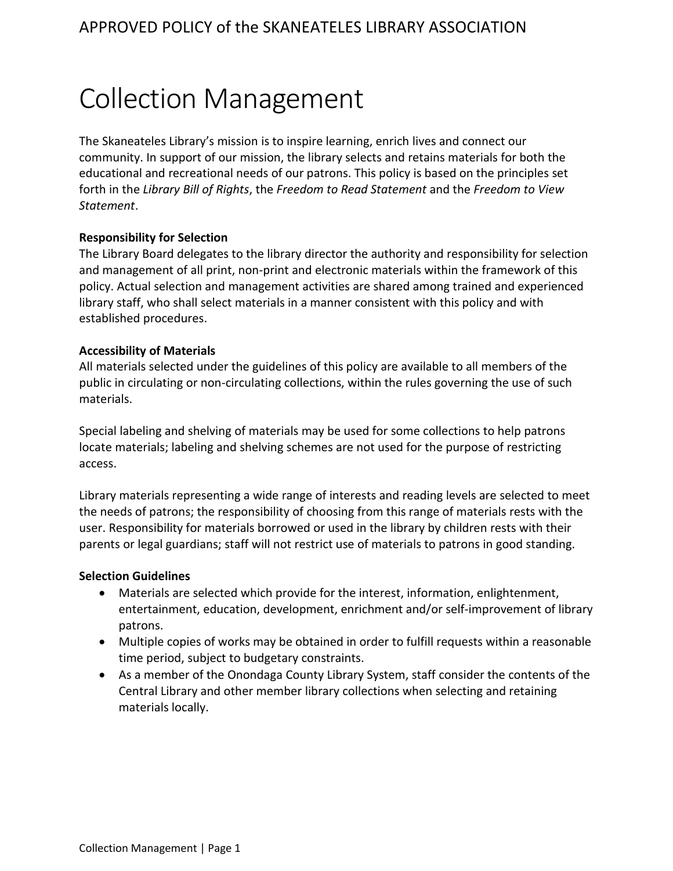# Collection Management

The Skaneateles Library's mission is to inspire learning, enrich lives and connect our community. In support of our mission, the library selects and retains materials for both the educational and recreational needs of our patrons. This policy is based on the principles set forth in the *Library Bill of Rights*, the *Freedom to Read Statement* and the *Freedom to View Statement*.

# **Responsibility for Selection**

The Library Board delegates to the library director the authority and responsibility for selection and management of all print, non-print and electronic materials within the framework of this policy. Actual selection and management activities are shared among trained and experienced library staff, who shall select materials in a manner consistent with this policy and with established procedures.

# **Accessibility of Materials**

All materials selected under the guidelines of this policy are available to all members of the public in circulating or non-circulating collections, within the rules governing the use of such materials.

Special labeling and shelving of materials may be used for some collections to help patrons locate materials; labeling and shelving schemes are not used for the purpose of restricting access.

Library materials representing a wide range of interests and reading levels are selected to meet the needs of patrons; the responsibility of choosing from this range of materials rests with the user. Responsibility for materials borrowed or used in the library by children rests with their parents or legal guardians; staff will not restrict use of materials to patrons in good standing.

## **Selection Guidelines**

- Materials are selected which provide for the interest, information, enlightenment, entertainment, education, development, enrichment and/or self-improvement of library patrons.
- Multiple copies of works may be obtained in order to fulfill requests within a reasonable time period, subject to budgetary constraints.
- As a member of the Onondaga County Library System, staff consider the contents of the Central Library and other member library collections when selecting and retaining materials locally.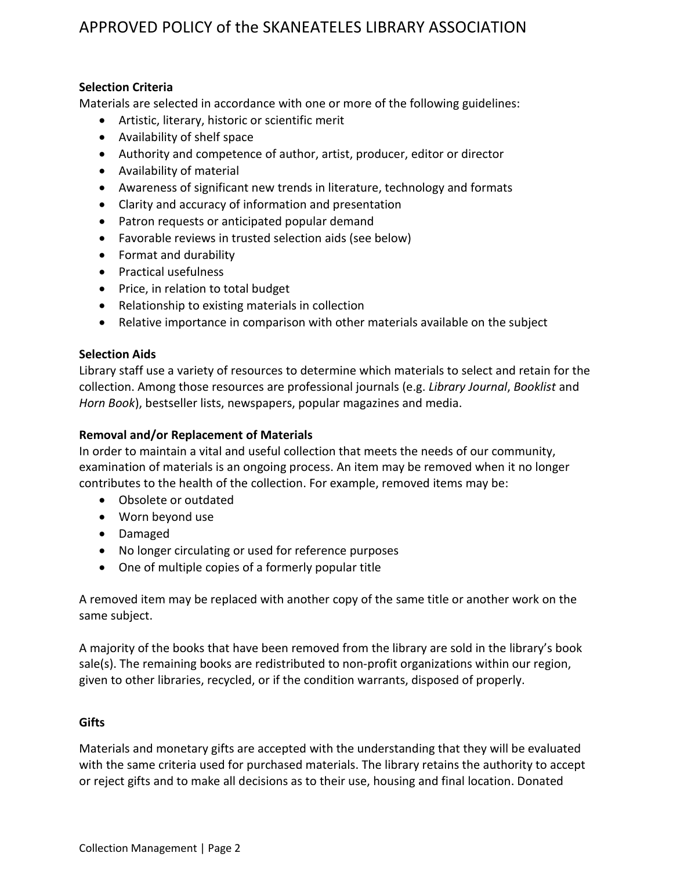# APPROVED POLICY of the SKANEATELES LIBRARY ASSOCIATION

## **Selection Criteria**

Materials are selected in accordance with one or more of the following guidelines:

- Artistic, literary, historic or scientific merit
- Availability of shelf space
- Authority and competence of author, artist, producer, editor or director
- Availability of material
- Awareness of significant new trends in literature, technology and formats
- Clarity and accuracy of information and presentation
- Patron requests or anticipated popular demand
- Favorable reviews in trusted selection aids (see below)
- Format and durability
- Practical usefulness
- Price, in relation to total budget
- Relationship to existing materials in collection
- Relative importance in comparison with other materials available on the subject

#### **Selection Aids**

Library staff use a variety of resources to determine which materials to select and retain for the collection. Among those resources are professional journals (e.g. *Library Journal*, *Booklist* and *Horn Book*), bestseller lists, newspapers, popular magazines and media.

#### **Removal and/or Replacement of Materials**

In order to maintain a vital and useful collection that meets the needs of our community, examination of materials is an ongoing process. An item may be removed when it no longer contributes to the health of the collection. For example, removed items may be:

- Obsolete or outdated
- Worn beyond use
- Damaged
- No longer circulating or used for reference purposes
- One of multiple copies of a formerly popular title

A removed item may be replaced with another copy of the same title or another work on the same subject.

A majority of the books that have been removed from the library are sold in the library's book sale(s). The remaining books are redistributed to non-profit organizations within our region, given to other libraries, recycled, or if the condition warrants, disposed of properly.

#### **Gifts**

Materials and monetary gifts are accepted with the understanding that they will be evaluated with the same criteria used for purchased materials. The library retains the authority to accept or reject gifts and to make all decisions as to their use, housing and final location. Donated